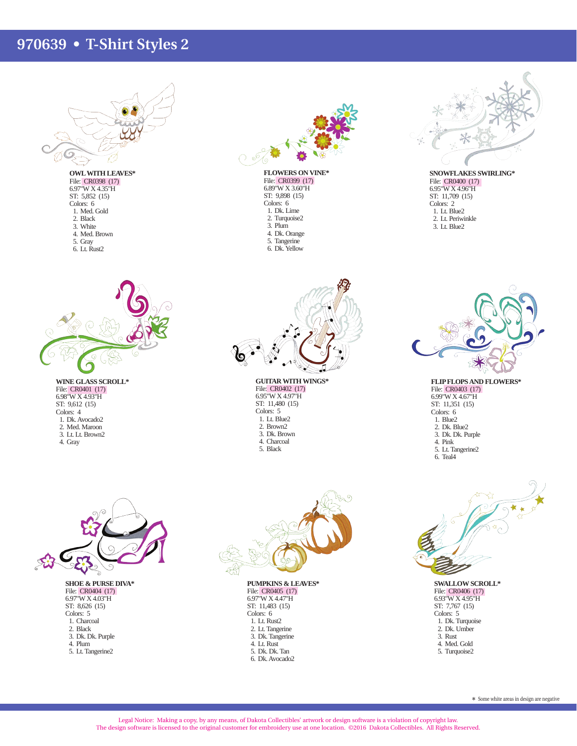## **970639 • T-Shirt Styles 2**